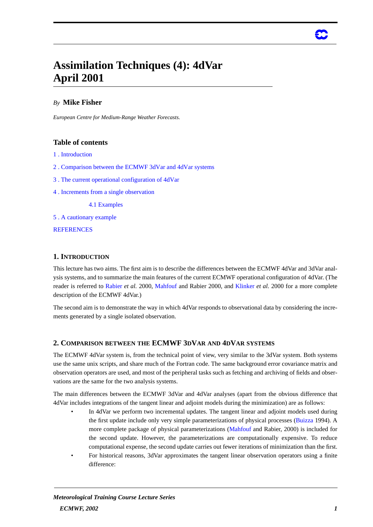# **Assimilation Techniques (4): 4dVar April 2001**

# *By* **Mike Fisher**

*European Centre for Medium-Range Weather Forecasts.*

## **Table of contents**

- 1 . Introduction
- 2 . Comparison between the ECMWF 3dVar and 4dVar systems
- 3 . The current operational configuration of 4dVar
- 4 . Increments from a single observation

4.1 Examples

5 . A cautionary example

**REFERENCES** 

## **1. INTRODUCTION**

This lecture has two aims. The first aim is to describe the differences between the ECMWF 4dVar and 3dVar analysis systems, and to summarize the main features of the current ECMWF operational configuration of 4dVar. (The reader is referred to Rabier *et al.* 2000, Mahfouf and Rabier 2000, and Klinker *et al.* 2000 for a more complete description of the ECMWF 4dVar.)

The second aim is to demonstrate the way in which 4dVar responds to observational data by considering the increments generated by a single isolated observation.

## **2. COMPARISON BETWEEN THE ECMWF 3DVAR AND 4DVAR SYSTEMS**

The ECMWF 4dVar system is, from the technical point of view, very similar to the 3dVar system. Both systems use the same unix scripts, and share much of the Fortran code. The same background error covariance matrix and observation operators are used, and most of the peripheral tasks such as fetching and archiving of fields and observations are the same for the two analysis systems.

The main differences between the ECMWF 3dVar and 4dVar analyses (apart from the obvious difference that 4dVar includes integrations of the tangent linear and adjoint models during the minimization) are as follows:

- In 4dVar we perform two incremental updates. The tangent linear and adjoint models used during the first update include only very simple parameterizations of physical processes (Buizza 1994). A more complete package of physical parameterizations (Mahfouf and Rabier, 2000) is included for the second update. However, the parameterizations are computationally expensive. To reduce computational expense, the second update carries out fewer iterations of minimization than the first.
- *•* For historical reasons, 3dVar approximates the tangent linear observation operators using a finite difference: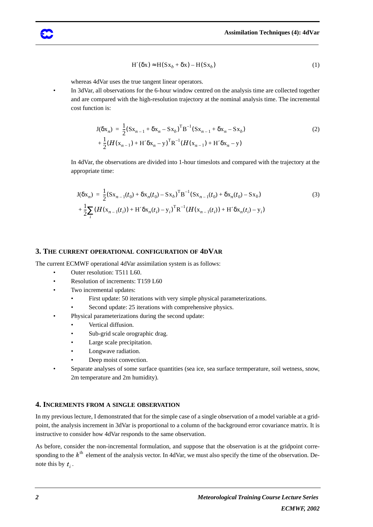$$
H'(\delta x) \approx H(Sx_b + \delta x) - H(Sx_b)
$$
 (1)

whereas 4dVar uses the true tangent linear operators.

In 3dVar, all observations for the 6-hour window centred on the analysis time are collected together and are compared with the high-resolution trajectory at the nominal analysis time. The incremental cost function is:

$$
J(\delta x_n) = \frac{1}{2} (Sx_{n-1} + \delta x_n - Sx_b)^T B^{-1} (Sx_{n-1} + \delta x_n - Sx_b)
$$
  
+ 
$$
\frac{1}{2} (H(x_{n-1}) + H' \delta x_n - y)^T R^{-1} (H(x_{n-1}) + H' \delta x_n - y)
$$
 (2)

In 4dVar, the observations are divided into 1-hour timeslots and compared with the trajectory at the appropriate time:

$$
J(\delta x_n) = \frac{1}{2} (Sx_{n-1}(t_0) + \delta x_n(t_0) - Sx_b)^T B^{-1} (Sx_{n-1}(t_0) + \delta x_n(t_0) - Sx_b)
$$
  
+ 
$$
\frac{1}{2} \sum_i (H(x_{n-1}(t_i)) + H' \delta x_n(t_i) - y_i)^T R^{-1} (H(x_{n-1}(t_i)) + H' \delta x_n(t_i) - y_i)
$$
 (3)

#### **3. THE CURRENT OPERATIONAL CONFIGURATION OF 4DVAR**

The current ECMWF operational 4dVar assimilation system is as follows:

- *•* Outer resolution: T511 L60.
- *•* Resolution of increments: T159 L60
- Two incremental updates:
	- First update: 50 iterations with very simple physical parameterizations.
	- Second update: 25 iterations with comprehensive physics.
	- Physical parameterizations during the second update:
		- *•* Vertical diffusion.
		- Sub-grid scale orographic drag.
		- Large scale precipitation.
		- *•* Longwave radiation.
		- Deep moist convection.
- *•* Separate analyses of some surface quantities (sea ice, sea surface termperature, soil wetness, snow, 2m temperature and 2m humidity).

## **4. INCREMENTS FROM A SINGLE OBSERVATION**

In my previous lecture, I demonstrated that for the simple case of a single observation of a model variable at a gridpoint, the analysis increment in 3dVar is proportional to a column of the background error covariance matrix. It is instructive to consider how 4dVar responds to the same observation.

As before, consider the non-incremental formulation, and suppose that the observation is at the gridpoint corresponding to the  $k^{\text{th}}$  element of the analysis vector. In 4dVar, we must also specify the time of the observation. Denote this by  $t_i$ .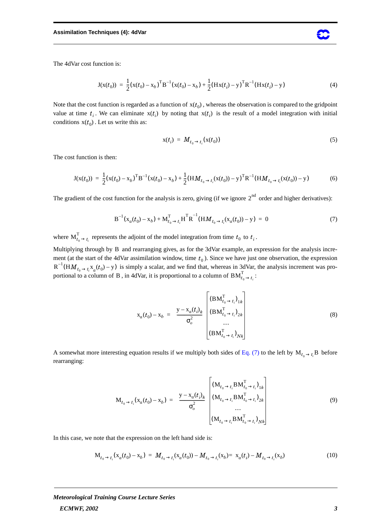The 4dVar cost function is:

$$
J(x(t_0)) = \frac{1}{2}(x(t_0) - x_b)^T B^{-1}(x(t_0) - x_b) + \frac{1}{2}(Hx(t_i) - y)^T R^{-1}(Hx(t_i) - y)
$$
(4)

Note that the cost function is regarded as a function of  $x(t_0)$ , whereas the observation is compared to the gridpoint value at time  $t_i$ . We can eliminate  $x(t_i)$  by noting that  $x(t_i)$  is the result of a model integration with initial conditions  $x(t_0)$ . Let us write this as:

$$
\mathbf{x}(t_i) = \boldsymbol{M}_{t_0 \to t_i}(\mathbf{x}(t_0)) \tag{5}
$$

The cost function is then:

$$
J(x(t_0)) = \frac{1}{2}(x(t_0) - x_b)^T B^{-1}(x(t_0) - x_b) + \frac{1}{2}(H M_{t_0 \to t_i}(x(t_0)) - y)^T R^{-1}(H M_{t_0 \to t_i}(x(t_0)) - y)
$$
(6)

The gradient of the cost function for the analysis is zero, giving (if we ignore  $2<sup>nd</sup>$  order and higher derivatives):

$$
B^{-1}(x_a(t_0) - x_b) + M_{t_0 \to t_i}^T H^T R^{-1}(H M_{t_0 \to t_i}(x_a(t_0)) - y) = 0
$$
\n(7)

where  $M_{t_0 \to t_i}^1$  represents the adjoint of the model integration from time  $t_0$  to  $t_i$ . T  $\iota_0$  to  $\iota_i$ .

Multiplying through by B and rearranging gives, as for the 3dVar example, an expression for the analysis increment (at the start of the 4dVar assimilation window, time  $t_0$ ). Since we have just one observation, the expression is simply a scalar, and we find that, whereas in 3dVar, the analysis increment was proportional to a column of B, in 4dVar, it is proportional to a column of  $BM_{t_{\alpha}\rightarrow t_{\alpha}}^{1}$ :  $R^{-1}(HM_{t_0 \to t_i} x_a(t_0) - y)$ B, in 4dVar, it is proportional to a column of  $BM_{t_0 \to t_i}^1$ : T

$$
\mathbf{x}_{a}(t_{0}) - \mathbf{x}_{b} = \left(\frac{\mathbf{y} - \mathbf{x}_{a}(t_{i})_{k}}{\sigma_{o}^{2}}\right) \left(\begin{array}{c} (\mathbf{B}\mathbf{M}_{t_{0} \to t_{i}}^{T})_{1k} \\ (\mathbf{B}\mathbf{M}_{t_{0} \to t_{i}}^{T})_{2k} \\ \dots \\ (\mathbf{B}\mathbf{M}_{t_{0} \to t_{i}}^{T})_{Nk} \end{array}\right) \tag{8}
$$

rearranging:

A somewhat more interesting equation results if we multiply both sides of Eq. (7) to the left by 
$$
M_{t_0 \to t_i}
$$
B before  
rearranging:  

$$
M_{t_0 \to t_i}(x_a(t_0) - x_b) = \left(\frac{y - x_a(t_i)_k}{\sigma_o^2}\right) \begin{bmatrix} (M_{t_0 \to t_i} B M_{t_0 \to t_i}^T)_{1k} \\ (M_{t_0 \to t_i} B M_{t_0 \to t_i}^T)_{2k} \\ \vdots \\ (M_{t_0 \to t_i} B M_{t_0 \to t_i}^T)_{Nk} \end{bmatrix}
$$
(9)

In this case, we note that the expression on the left hand side is:

$$
M_{t_0 \to t_i}(x_a(t_0) - x_b) = M_{t_0 \to t_i}(x_a(t_0)) - M_{t_0 \to t_i}(x_b) = x_a(t_i) - M_{t_0 \to t_i}(x_b)
$$
(10)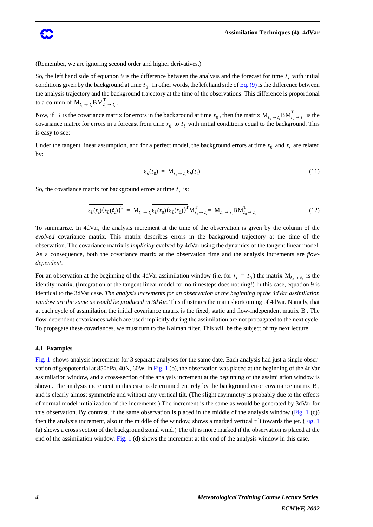

(Remember, we are ignoring second order and higher derivatives.)

So, the left hand side of equation 9 is the difference between the analysis and the forecast for time  $t_i$  with initial conditions given by the background at time  $t_0$  . In other words, the left hand side of Eq. (9) is the difference between the analysis trajectory and the background trajectory at the time of the observations. This difference is proportional to a column of  $\mathbf{M}_{t_0 \to t_i} \mathbf{B M}_{t_0 \to t_i}^1$ . T

Now, if B is the covariance matrix for errors in the background at time  $t_0$ , then the matrix  $M_{t_0 \to t_i} B M_{t_0 \to t_i}^1$  is the covariance matrix for errors in a forecast from time  $t_0$  to  $t_i$  with initial conditions equal to the background. This is easy to see: T

Under the tangent linear assumption, and for a perfect model, the background errors at time  $t_0$  and  $t_i$  are related by:

$$
\varepsilon_b(t_0) = \mathbf{M}_{t_0 \to t_i} \varepsilon_b(t_i) \tag{11}
$$

So, the covariance matrix for background errors at time  $t_i$  is:

$$
\overline{\varepsilon_b(t_i)(\varepsilon_b(t_i))^{\mathrm{T}}} = \mathbf{M}_{t_0 \to t_i} \overline{\varepsilon_b(t_0)(\varepsilon_b(t_0))^{\mathrm{T}}} \mathbf{M}_{t_0 \to t_i}^{\mathrm{T}} = \mathbf{M}_{t_0 \to t_i} \mathbf{B} \mathbf{M}_{t_0 \to t_i}^{\mathrm{T}} \tag{12}
$$

To summarize. In 4dVar, the analysis increment at the time of the observation is given by the column of the *evolved* covariance matrix. This matrix describes errors in the background trajectory at the time of the observation. The covariance matrix is *implicitly* evolved by 4dVar using the dynamics of the tangent linear model. As a consequence, both the covariance matrix at the observation time and the analysis increments are *flowdependent*.

For an observation at the beginning of the 4dVar assimilation window (i.e. for  $t_i = t_0$ ) the matrix  $M_{t_0 \to t_i}$  is the identity matrix. (Integration of the tangent linear model for no timesteps does nothing!) In this case, equation 9 is identical to the 3dVar case. *The analysis increments for an observation at the beginning of the 4dVar assimilation window are the same as would be produced in 3dVar*. This illustrates the main shortcoming of 4dVar. Namely, that at each cycle of assimilation the initial covariance matrix is the fixed, static and flow-independent matrix B. The flow-dependent covariances which are used implicitly during the assimilation are not propagated to the next cycle. To propagate these covariances, we must turn to the Kalman filter. This will be the subject of my next lecture.

#### **4.1 Examples**

Fig. 1 shows analysis increments for 3 separate analyses for the same date. Each analysis had just a single observation of geopotential at 850hPa, 40N, 60W. In Fig. 1 (b), the observation was placed at the beginning of the 4dVar assimilation window, and a cross-section of the analysis increment at the beginning of the assimilation window is shown. The analysis increment in this case is determined entirely by the background error covariance matrix B, and is clearly almost symmetric and without any vertical tilt. (The slight asymmetry is probably due to the effects of normal model initialization of the increments.) The increment is the same as would be generated by 3dVar for this observation. By contrast. if the same observation is placed in the middle of the analysis window (Fig. 1 (c)) then the analysis increment, also in the middle of the window, shows a marked vertical tilt towards the jet. (Fig. 1 (a) shows a cross section of the background zonal wind.) The tilt is more marked if the observation is placed at the end of the assimilation window. Fig. 1 (d) shows the increment at the end of the analysis window in this case.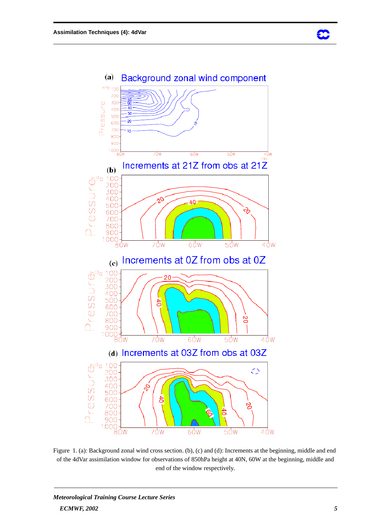



Figure 1. (a): Background zonal wind cross section. (b), (c) and (d): Increments at the beginning, middle and end of the 4dVar assimilation window for observations of 850hPa height at 40N, 60W at the beginning, middle and end of the window respectively.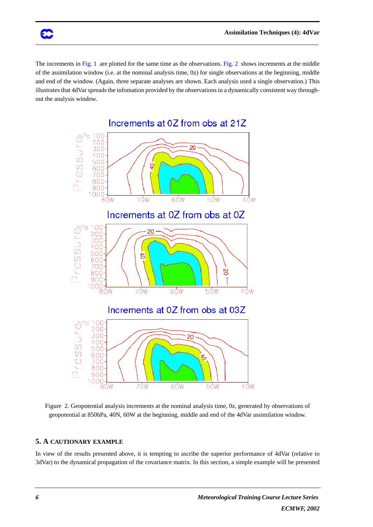The increments in Fig. 1 are plotted for the same time as the observations. Fig. 2 shows increments at the middle of the assimilation window (i.e. at the nominal analysis time, 0z) for single observations at the beginning, middle and end of the window. (Again, three separate analyses are shown. Each analysis used a single observation.) This illustrates that 4dVar spreads the infomation provided by the observations in a dynamically consistent way throughout the analysis window.



Figure 2. Geopotential analysis increments at the nominal analysis time, 0z, generated by observations of geopotential at 850hPa, 40N, 60W at the beginning, middle and end of the 4dVar assimilation window.

#### **5. A CAUTIONARY EXAMPLE**

In view of the results presented above, it is tempting to ascribe the superior performance of 4dVar (relative to 3dVar) to the dynamical propagation of the covariance matrix. In this section, a simple example will be presented

38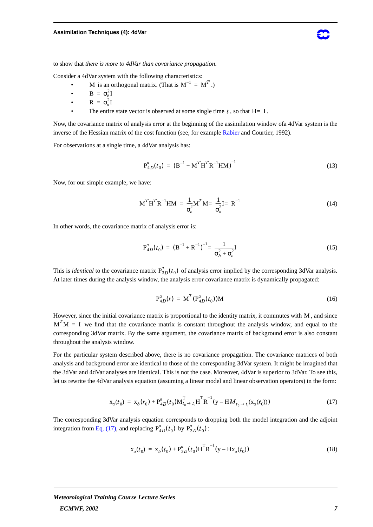to show that *there is more to 4dVar than covariance propagation*.

Consider a 4dVar system with the following characteristics:

- M is an orthogonal matrix. (That is  $M^{-1} = M^T$ .)
- *•*  $B = \sigma_b^2 I$
- *•*  $R = \sigma_o^2 I$
- The entire state vector is observed at some single time  $t$ , so that  $H= I$ .

Now, the covariance matrix of analysis error at the beginning of the assimilation window ofa 4dVar system is the inverse of the Hessian matrix of the cost function (see, for example Rabier and Courtier, 1992).

For observations at a single time, a 4dVar analysis has:

$$
P_{4D}^{a}(t_0) = (B^{-1} + M^{T}H^{T}R^{-1}HM)^{-1}
$$
\n(13)

Now, for our simple example, we have:

$$
\mathbf{M}^T \mathbf{H}^T \mathbf{R}^{-1} \mathbf{H} \mathbf{M} = \frac{1}{\sigma_o^2} \mathbf{M}^T \mathbf{M} = \frac{1}{\sigma_o^2} \mathbf{I} = \mathbf{R}^{-1}
$$
(14)

In other words, the covariance matrix of analysis error is:

$$
P_{4D}^{a}(t_0) = (B^{-1} + R^{-1})^{-1} = \frac{1}{\sigma_b^2 + \sigma_o^2} I
$$
 (15)

This is *identical* to the covariance matrix  $P_{3D}^{a}(t_0)$  of analysis error implied by the corresponding 3dVar analysis. At later times during the analysis window, the analysis error covariance matrix is dynamically propagated:

$$
P_{4D}^{a}(t) = M^{T}(P_{4D}^{a}(t_{0}))M
$$
\n(16)

However, since the initial covariance matrix is proportional to the identity matrix, it commutes with  $M$ , and since  $M<sup>T</sup>M = I$  we find that the covariance matrix is constant throughout the analysis window, and equal to the corresponding 3dVar matrix. By the same argument, the covariance matrix of background error is also constant throughout the analysis window.

For the particular system described above, there is no covariance propagation. The covariance matrices of both analysis and background error are identical to those of the corresponding 3dVar system. It might be imagined that the 3dVar and 4dVar analyses are identical. This is not the case. Moreover, 4dVar is superior to 3dVar. To see this, let us rewrite the 4dVar analysis equation (assuming a linear model and linear observation operators) in the form:

$$
\mathbf{x}_{a}(t_{0}) = \mathbf{x}_{b}(t_{0}) + \mathbf{P}_{4D}^{a}(t_{0})\mathbf{M}_{t_{0}\to t_{i}}^{\mathrm{T}}\mathbf{H}^{\mathrm{T}}\mathbf{R}^{-1}(\mathbf{y} - \mathbf{H}M_{t_{0}\to t_{i}}(\mathbf{x}_{a}(t_{0})))
$$
\n(17)

The corresponding 3dVar analysis equation corresponds to dropping both the model integration and the adjoint integration from Eq. (17), and replacing  $P_{4D}^{a}(t_0)$  by  $P_{3D}^{a}(t_0)$ :

$$
\mathbf{x}_{a}(t_{0}) = \mathbf{x}_{b}(t_{0}) + \mathbf{P}_{3D}^{a}(t_{0})\mathbf{H}^{\mathrm{T}}\mathbf{R}^{-1}(\mathbf{y} - \mathbf{H}\mathbf{x}_{a}(t_{0}))
$$
\n(18)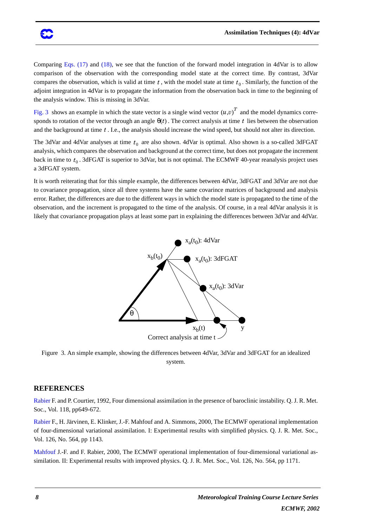Comparing Eqs. (17) and (18), we see that the function of the forward model integration in 4dVar is to allow comparison of the observation with the corresponding model state at the correct time. By contrast, 3dVar compares the observation, which is valid at time  $t$ , with the model state at time  $t_0$ . Similarly, the function of the adjoint integration in 4dVar is to propagate the information from the observation back in time to the beginning of the analysis window. This is missing in 3dVar.

Fig. 3 shows an example in which the state vector is a single wind vector  $(u, v)^T$  and the model dynamics corresponds to rotation of the vector through an angle  $\theta(t)$ . The correct analysis at time t lies between the observation and the background at time  $t$ . I.e., the analysis should increase the wind speed, but should not alter its direction.

The 3dVar and 4dVar analyses at time  $t_0$  are also shown. 4dVar is optimal. Also shown is a so-called 3dFGAT analysis, which compares the observation and background at the correct time, but does not propagate the increment back in time to  $t_0$  . 3dFGAT is superior to 3dVar, but is not optimal. The ECMWF 40-year reanalysis project uses a 3dFGAT system.

It is worth reiterating that for this simple example, the differences between 4dVar, 3dFGAT and 3dVar are not due to covariance propagation, since all three systems have the same covarince matrices of background and analysis error. Rather, the differences are due to the different ways in which the model state is propagated to the time of the observation, and the increment is propagated to the time of the analysis. Of course, in a real 4dVar analysis it is likely that covariance propagation plays at least some part in explaining the differences between 3dVar and 4dVar.



Figure 3. An simple example, showing the differences between 4dVar, 3dVar and 3dFGAT for an idealized system.

## **REFERENCES**

Rabier F. and P. Courtier, 1992, Four dimensional assimilation in the presence of baroclinic instability. Q. J. R. Met. Soc., Vol. 118, pp649-672.

RabierF., H. Järvinen, E. Klinker, J.-F. Mahfouf and A.Simmons, 2000, The ECMWFoperationalimplementation of four-dimensional variational assimilation. I: Experimental results with simplified physics. Q. J. R. Met. Soc., Vol. 126, No. 564, pp 1143.

Mahfouf J.-F. and F. Rabier, 2000, The ECMWF operational implementation of four-dimensional variational assimilation. II: Experimental results with improved physics. Q. J. R. Met. Soc., Vol. 126, No. 564, pp 1171.